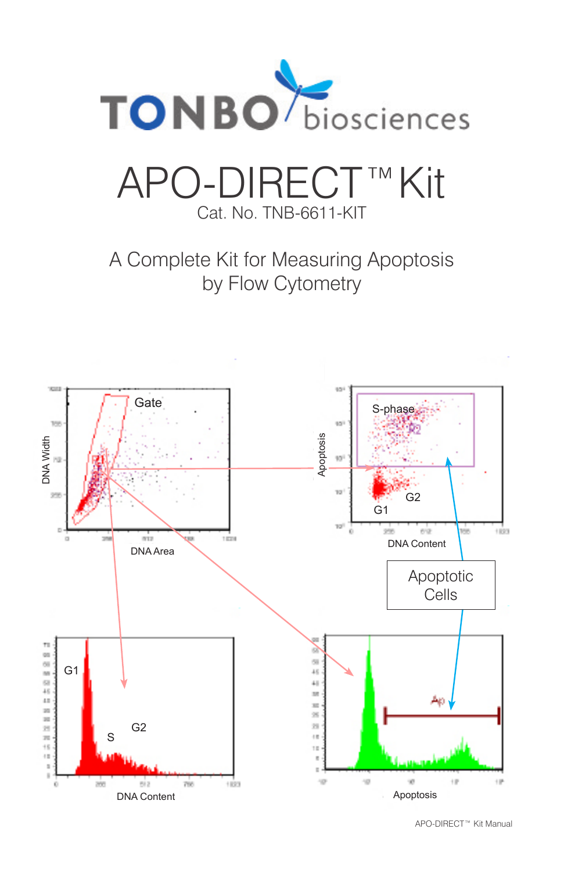

# APO-DIRECT™Kit Cat. No. TNB-6611-KIT

A Complete Kit for Measuring Apoptosis by Flow Cytometry



APO-DIRECT™ Kit Manual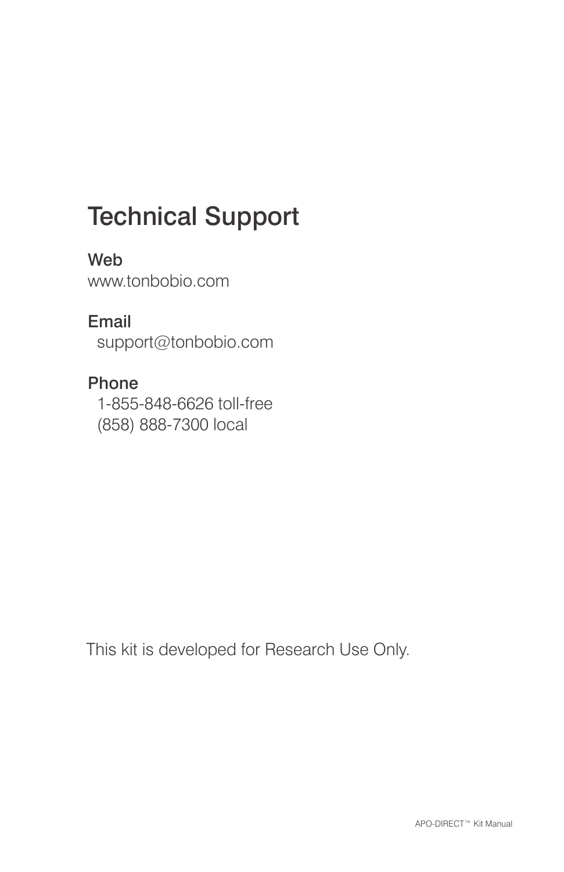# Technical Support

Web www.tonbobio.com

Email support@tonbobio.com

Phone 1-855-848-6626 toll-free (858) 888-7300 local

This kit is developed for Research Use Only.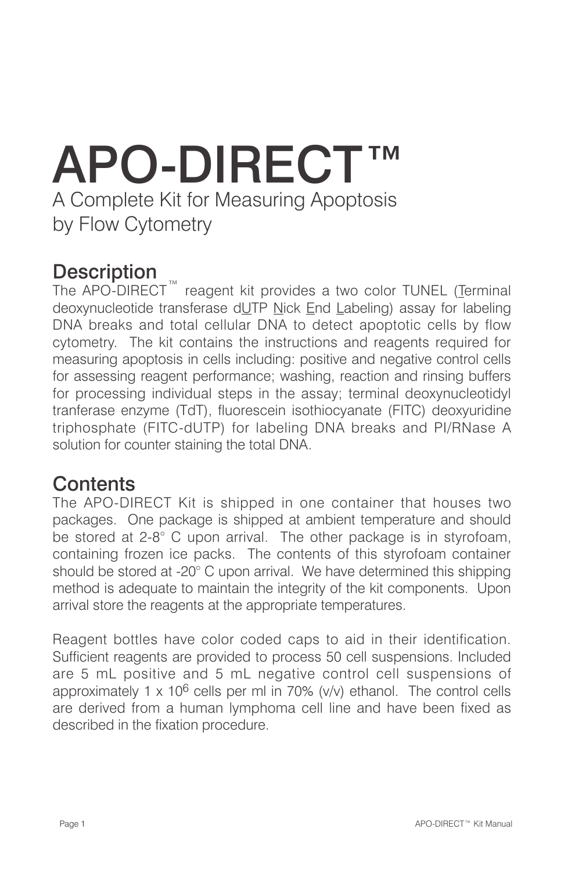# APO-DIRECT™ A Complete Kit for Measuring Apoptosis by Flow Cytometry

#### **Description**

The APO-DIRECT<sup>™</sup> reagent kit provides a two color TUNEL (Terminal deoxynucleotide transferase dUTP Nick End Labeling) assay for labeling DNA breaks and total cellular DNA to detect apoptotic cells by flow cytometry. The kit contains the instructions and reagents required for measuring apoptosis in cells including: positive and negative control cells for assessing reagent performance; washing, reaction and rinsing buffers for processing individual steps in the assay; terminal deoxynucleotidyl tranferase enzyme (TdT), fluorescein isothiocyanate (FITC) deoxyuridine triphosphate (FITC-dUTP) for labeling DNA breaks and PI/RNase A solution for counter staining the total DNA.

#### **Contents**

The APO-DIRECT Kit is shipped in one container that houses two packages. One package is shipped at ambient temperature and should be stored at 2-8° C upon arrival. The other package is in styrofoam, containing frozen ice packs. The contents of this styrofoam container should be stored at -20° C upon arrival. We have determined this shipping method is adequate to maintain the integrity of the kit components. Upon arrival store the reagents at the appropriate temperatures.

Reagent bottles have color coded caps to aid in their identification. Sufficient reagents are provided to process 50 cell suspensions. Included are 5 mL positive and 5 mL negative control cell suspensions of approximately 1 x 10 $6$  cells per ml in 70% ( $v/v$ ) ethanol. The control cells are derived from a human lymphoma cell line and have been fixed as described in the fixation procedure.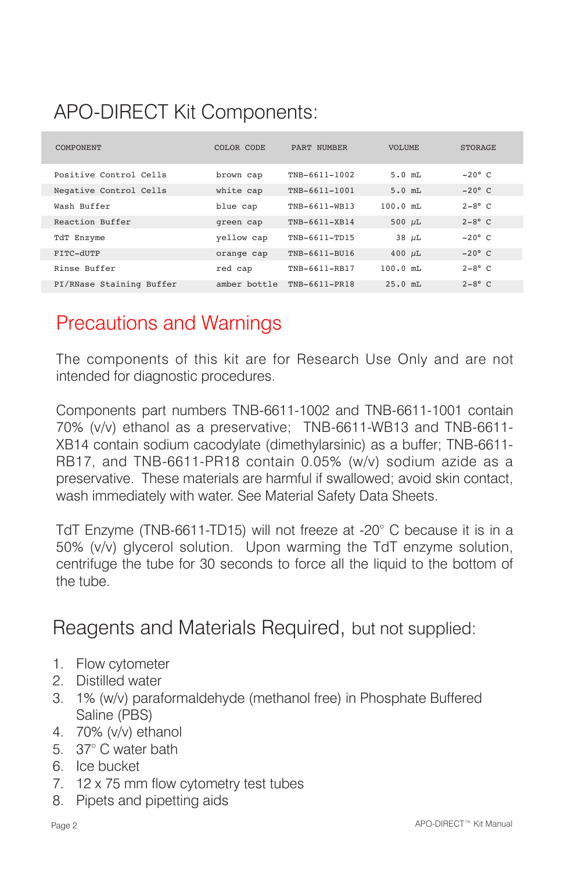### APO-DIRECT Kit Components:

| <b>COMPONENT</b>         | COLOR CODE   | PART NUMBER   | <b>VOLUME</b> | <b>STORAGE</b> |
|--------------------------|--------------|---------------|---------------|----------------|
| Positive Control Cells   | brown cap    | TNB-6611-1002 | $5.0$ mT.     | $-20^\circ$ C  |
| Negative Control Cells   | white cap    | TNB-6611-1001 | $5.0$ mT.     | $-20^\circ$ C  |
| Wash Buffer              | blue cap     | TNB-6611-WB13 | $100.0$ mT.   | $2-8^\circ$ C  |
| Reaction Buffer          | green cap    | TNB-6611-XB14 | 500 $\mu$ L   | $2-8^\circ$ C  |
| TdT Enzyme               | yellow cap   | TNB-6611-TD15 | $38 \mu L$    | $-2.0^\circ$ C |
| FITC-dUTP                | orange cap   | TNB-6611-BU16 | 400 $\mu$ L   | $-20^\circ$ C  |
| Rinse Buffer             | red cap      | TNB-6611-RB17 | $100.0$ mT.   | $2-8^\circ$ C  |
| PI/RNase Staining Buffer | amber bottle | TNB-6611-PR18 | $25.0$ mT.    | $2-8^\circ$ C  |

#### Precautions and Warnings

The components of this kit are for Research Use Only and are not intended for diagnostic procedures.

Components part numbers TNB-6611-1002 and TNB-6611-1001 contain 70% (v/v) ethanol as a preservative; TNB-6611-WB13 and TNB-6611- XB14 contain sodium cacodylate (dimethylarsinic) as a buffer; TNB-6611- RB17, and TNB-6611-PR18 contain 0.05% (w/v) sodium azide as a preservative. These materials are harmful if swallowed; avoid skin contact, wash immediately with water. See Material Safety Data Sheets.

TdT Enzyme (TNB-6611-TD15) will not freeze at -20° C because it is in a 50% (v/v) glycerol solution. Upon warming the TdT enzyme solution, centrifuge the tube for 30 seconds to force all the liquid to the bottom of the tube.

Reagents and Materials Required, but not supplied:

- 1. Flow cytometer
- 2. Distilled water
- 3. 1% (w/v) paraformaldehyde (methanol free) in Phosphate Buffered Saline (PBS)
- 4. 70% (v/v) ethanol
- 5. 37° C water bath
- 6. Ice bucket
- 7. 12 x 75 mm flow cytometry test tubes
- 8. Pipets and pipetting aids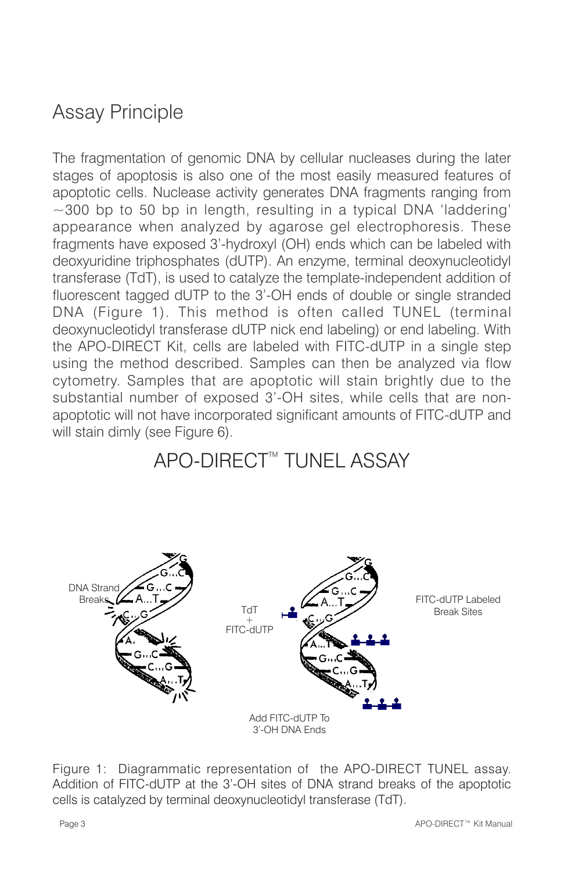### Assay Principle

The fragmentation of genomic DNA by cellular nucleases during the later stages of apoptosis is also one of the most easily measured features of apoptotic cells. Nuclease activity generates DNA fragments ranging from  $\sim$ 300 bp to 50 bp in length, resulting in a typical DNA 'laddering' appearance when analyzed by agarose gel electrophoresis. These fragments have exposed 3'-hydroxyl (OH) ends which can be labeled with deoxyuridine triphosphates (dUTP). An enzyme, terminal deoxynucleotidyl transferase (TdT), is used to catalyze the template-independent addition of fluorescent tagged dUTP to the 3'-OH ends of double or single stranded DNA (Figure 1). This method is often called TUNEL (terminal deoxynucleotidyl transferase dUTP nick end labeling) or end labeling. With the APO-DIRECT Kit, cells are labeled with FITC-dUTP in a single step using the method described. Samples can then be analyzed via flow cytometry. Samples that are apoptotic will stain brightly due to the substantial number of exposed 3'-OH sites, while cells that are nonapoptotic will not have incorporated significant amounts of FITC-dUTP and will stain dimly (see Figure 6).

### APO-DIRECT™ TUNEL ASSAY



Figure 1: Diagrammatic representation of the APO-DIRECT TUNEL assay. Addition of FITC-dUTP at the 3'-OH sites of DNA strand breaks of the apoptotic cells is catalyzed by terminal deoxynucleotidyl transferase (TdT).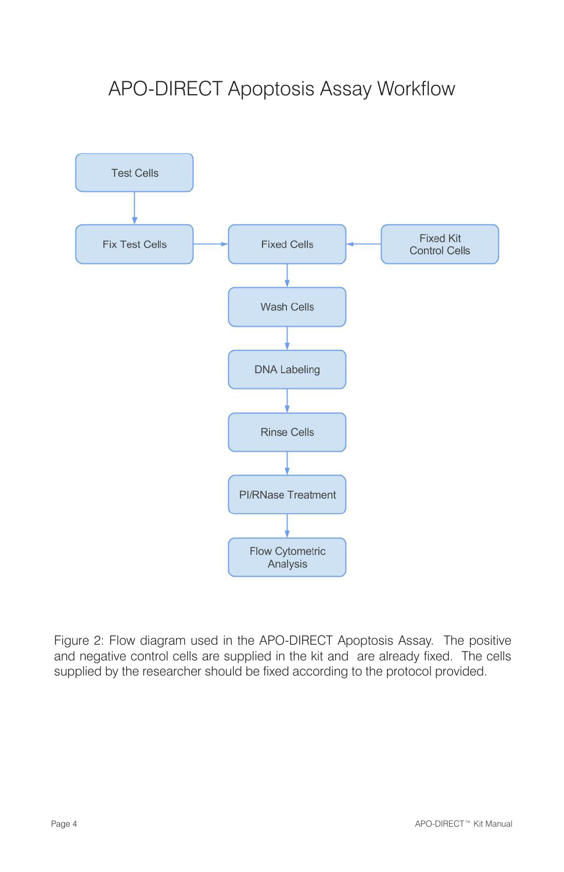### APO-DIRECT Apoptosis Assay Workflow



Figure 2: Flow diagram used in the APO-DIRECT Apoptosis Assay. The positive and negative control cells are supplied in the kit and are already fixed. The cells supplied by the researcher should be fixed according to the protocol provided.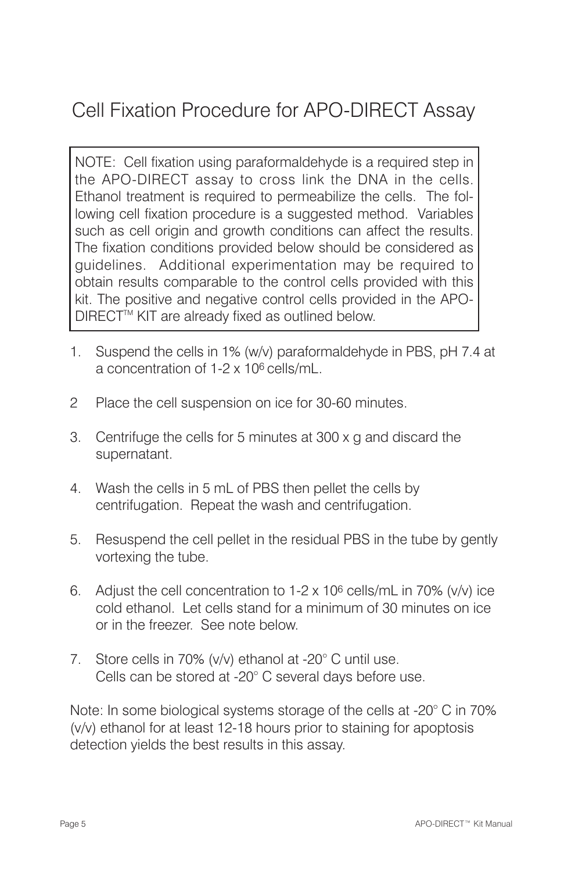### Cell Fixation Procedure for APO-DIRECT Assay

NOTE: Cell fixation using paraformaldehyde is a required step in the APO-DIRECT assay to cross link the DNA in the cells. Ethanol treatment is required to permeabilize the cells. The following cell fixation procedure is a suggested method. Variables such as cell origin and growth conditions can affect the results. The fixation conditions provided below should be considered as guidelines. Additional experimentation may be required to obtain results comparable to the control cells provided with this kit. The positive and negative control cells provided in the APO-DIRECT<sup>™</sup> KIT are already fixed as outlined below.

- 1. Suspend the cells in 1% (w/v) paraformaldehyde in PBS, pH 7.4 at a concentration of 1-2 x 106 cells/mL.
- 2 Place the cell suspension on ice for 30-60 minutes.
- 3. Centrifuge the cells for 5 minutes at 300 x g and discard the supernatant.
- 4. Wash the cells in 5 mL of PBS then pellet the cells by centrifugation. Repeat the wash and centrifugation.
- 5. Resuspend the cell pellet in the residual PBS in the tube by gently vortexing the tube.
- 6. Adjust the cell concentration to  $1-2 \times 10^6$  cells/mL in 70% (v/v) ice cold ethanol. Let cells stand for a minimum of 30 minutes on ice or in the freezer. See note below.
- 7. Store cells in 70% (v/v) ethanol at -20° C until use. Cells can be stored at -20° C several days before use.

Note: In some biological systems storage of the cells at -20° C in 70% (v/v) ethanol for at least 12-18 hours prior to staining for apoptosis detection yields the best results in this assay.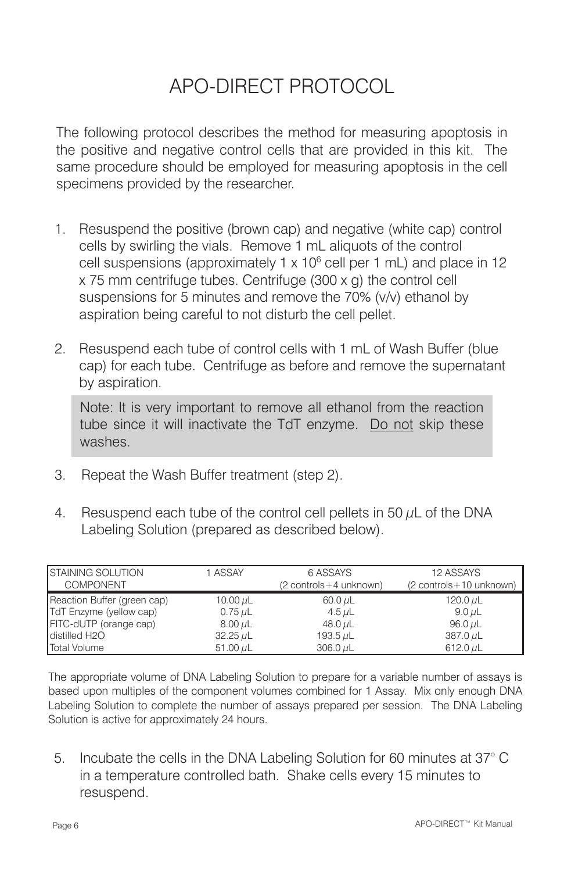### APO-DIRECT PROTOCOL

The following protocol describes the method for measuring apoptosis in the positive and negative control cells that are provided in this kit. The same procedure should be employed for measuring apoptosis in the cell specimens provided by the researcher.

- 1. Resuspend the positive (brown cap) and negative (white cap) control cells by swirling the vials. Remove 1 mL aliquots of the control cell suspensions (approximately 1 x  $10^6$  cell per 1 mL) and place in 12 x 75 mm centrifuge tubes. Centrifuge (300 x g) the control cell suspensions for 5 minutes and remove the 70% (v/v) ethanol by aspiration being careful to not disturb the cell pellet.
- 2. Resuspend each tube of control cells with 1 mL of Wash Buffer (blue cap) for each tube. Centrifuge as before and remove the supernatant by aspiration.

Note: It is very important to remove all ethanol from the reaction tube since it will inactivate the TdT enzyme. Do not skip these washes.

- 3. Repeat the Wash Buffer treatment (step 2).
- 4. Resuspend each tube of the control cell pellets in 50  $\mu$ L of the DNA Labeling Solution (prepared as described below).

| <b>STAINING SOLUTION</b>    | 1 ASSAY       | 6 ASSAYS                 | 12 ASSAYS                 |
|-----------------------------|---------------|--------------------------|---------------------------|
| <b>COMPONENT</b>            |               | (2 controls + 4 unknown) | (2 controls + 10 unknown) |
| Reaction Buffer (green cap) | 10.00 $\mu$ L | 60.0 $\mu$ L             | 120.0 $\mu$ L             |
| TdT Enzyme (yellow cap)     | 0.75 $\mu$ L  | 4.5 $\mu$ L              | 9.0 $\mu$ L               |
| FITC-dUTP (orange cap)      | 8.00 $\mu$ L  | 48.0 $\mu$ L             | 96.0 $\mu$ L              |
| distilled H2O               | $32.25 \mu L$ | 193.5 $\mu$ L            | 387.0 $\mu$ L             |
| Total Volume                | 51.00 $\mu$ L | $306.0 \mu L$            | $612.0 \mu L$             |

The appropriate volume of DNA Labeling Solution to prepare for a variable number of assays is based upon multiples of the component volumes combined for 1 Assay. Mix only enough DNA Labeling Solution to complete the number of assays prepared per session. The DNA Labeling Solution is active for approximately 24 hours.

5. Incubate the cells in the DNA Labeling Solution for 60 minutes at 37° C in a temperature controlled bath. Shake cells every 15 minutes to resuspend.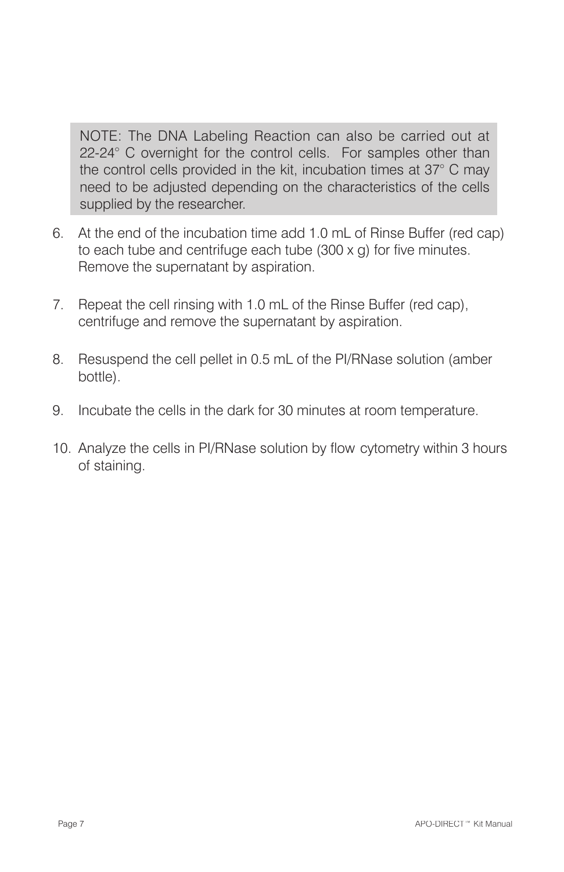NOTE: The DNA Labeling Reaction can also be carried out at 22-24° C overnight for the control cells. For samples other than the control cells provided in the kit, incubation times at 37° C may need to be adjusted depending on the characteristics of the cells supplied by the researcher.

- 6. At the end of the incubation time add 1.0 mL of Rinse Buffer (red cap) to each tube and centrifuge each tube (300 x g) for five minutes. Remove the supernatant by aspiration.
- 7. Repeat the cell rinsing with 1.0 mL of the Rinse Buffer (red cap), centrifuge and remove the supernatant by aspiration.
- 8. Resuspend the cell pellet in 0.5 mL of the PI/RNase solution (amber bottle).
- 9. Incubate the cells in the dark for 30 minutes at room temperature.
- 10. Analyze the cells in PI/RNase solution by flow cytometry within 3 hours of staining.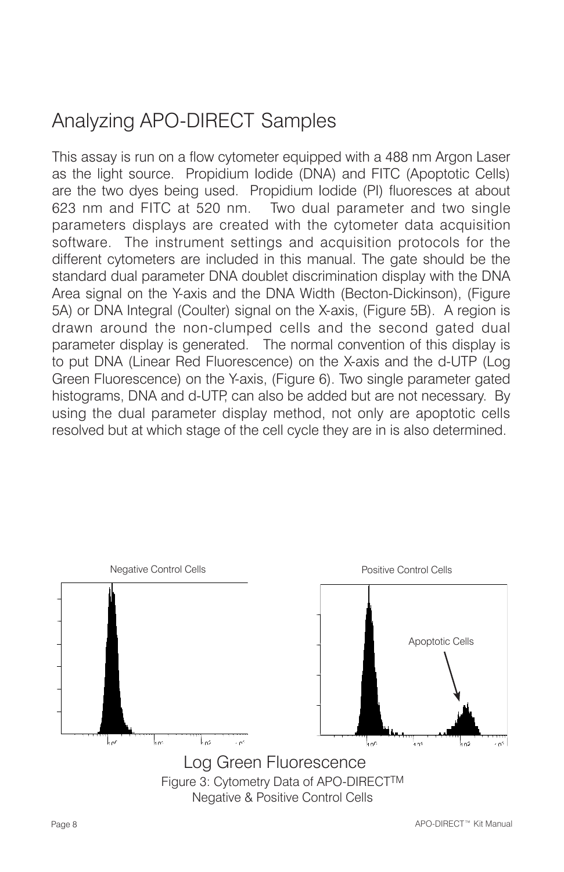### Analyzing APO-DIRECT Samples

This assay is run on a flow cytometer equipped with a 488 nm Argon Laser as the light source. Propidium Iodide (DNA) and FITC (Apoptotic Cells) are the two dyes being used. Propidium Iodide (PI) fluoresces at about 623 nm and FITC at 520 nm. Two dual parameter and two single parameters displays are created with the cytometer data acquisition software. The instrument settings and acquisition protocols for the different cytometers are included in this manual. The gate should be the standard dual parameter DNA doublet discrimination display with the DNA Area signal on the Y-axis and the DNA Width (Becton-Dickinson), (Figure 5A) or DNA Integral (Coulter) signal on the X-axis, (Figure 5B). A region is drawn around the non-clumped cells and the second gated dual parameter display is generated. The normal convention of this display is to put DNA (Linear Red Fluorescence) on the X-axis and the d-UTP (Log Green Fluorescence) on the Y-axis, (Figure 6). Two single parameter gated histograms, DNA and d-UTP, can also be added but are not necessary. By using the dual parameter display method, not only are apoptotic cells resolved but at which stage of the cell cycle they are in is also determined.

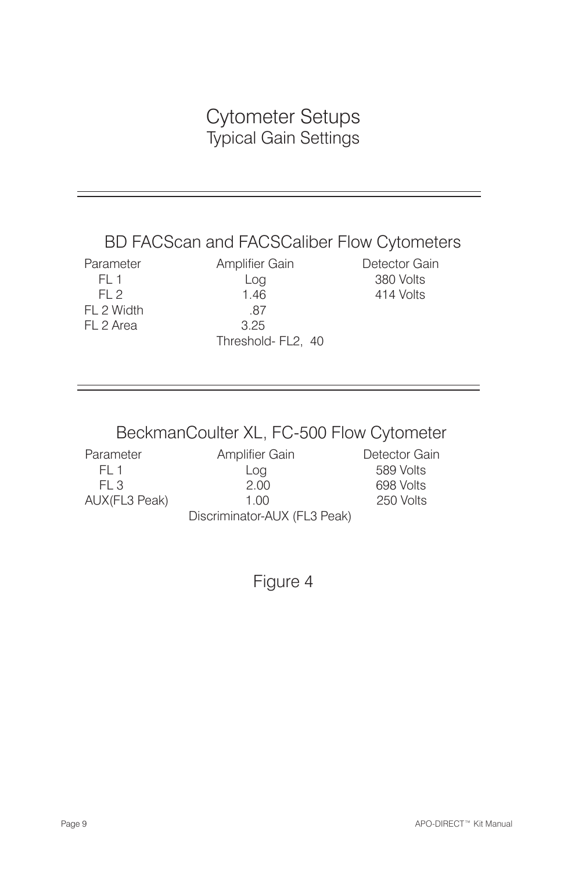#### Cytometer Setups Typical Gain Settings

#### BD FACScan and FACSCaliber Flow Cytometers

FL 2 Width .87 FL 2 Area 3.25

Parameter **Amplifier Gain** Detector Gain FL 1 Log 380 Volts FL 2 1.46 414 Volts Threshold- FL2, 40

#### BeckmanCoulter XL, FC-500 Flow Cytometer

Parameter **Amplifier Gain** Detector Gain FL 1 Log 589 Volts FL 3 2.00 698 Volts AUX(FL3 Peak) 1.00 250 Volts

Discriminator-AUX (FL3 Peak)

Figure 4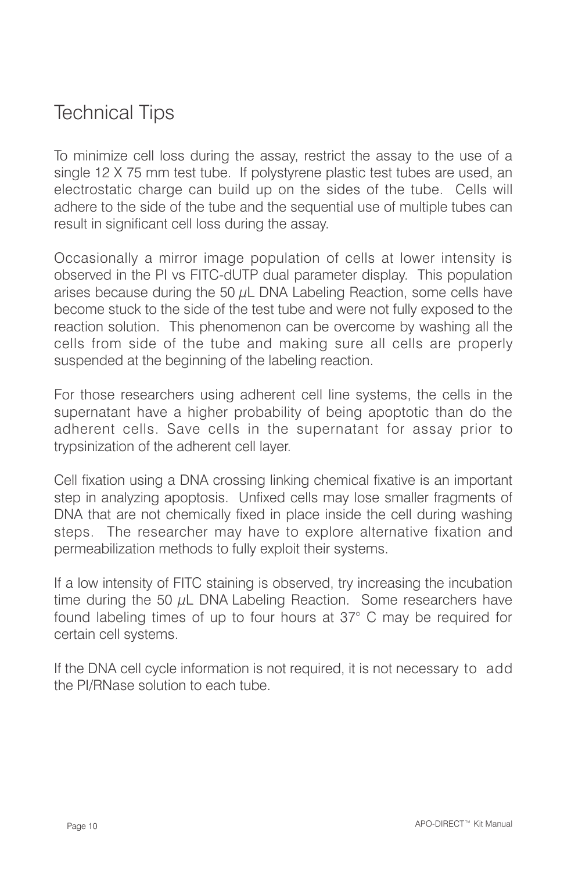### Technical Tips

To minimize cell loss during the assay, restrict the assay to the use of a single 12 X 75 mm test tube. If polystyrene plastic test tubes are used, an electrostatic charge can build up on the sides of the tube. Cells will adhere to the side of the tube and the sequential use of multiple tubes can result in significant cell loss during the assay.

Occasionally a mirror image population of cells at lower intensity is observed in the PI vs FITC-dUTP dual parameter display. This population arises because during the 50  $\mu$ L DNA Labeling Reaction, some cells have become stuck to the side of the test tube and were not fully exposed to the reaction solution. This phenomenon can be overcome by washing all the cells from side of the tube and making sure all cells are properly suspended at the beginning of the labeling reaction.

For those researchers using adherent cell line systems, the cells in the supernatant have a higher probability of being apoptotic than do the adherent cells. Save cells in the supernatant for assay prior to trypsinization of the adherent cell layer.

Cell fixation using a DNA crossing linking chemical fixative is an important step in analyzing apoptosis. Unfixed cells may lose smaller fragments of DNA that are not chemically fixed in place inside the cell during washing steps. The researcher may have to explore alternative fixation and permeabilization methods to fully exploit their systems.

If a low intensity of FITC staining is observed, try increasing the incubation time during the 50  $\mu$ L DNA Labeling Reaction. Some researchers have found labeling times of up to four hours at 37° C may be required for certain cell systems.

If the DNA cell cycle information is not required, it is not necessary to add the PI/RNase solution to each tube.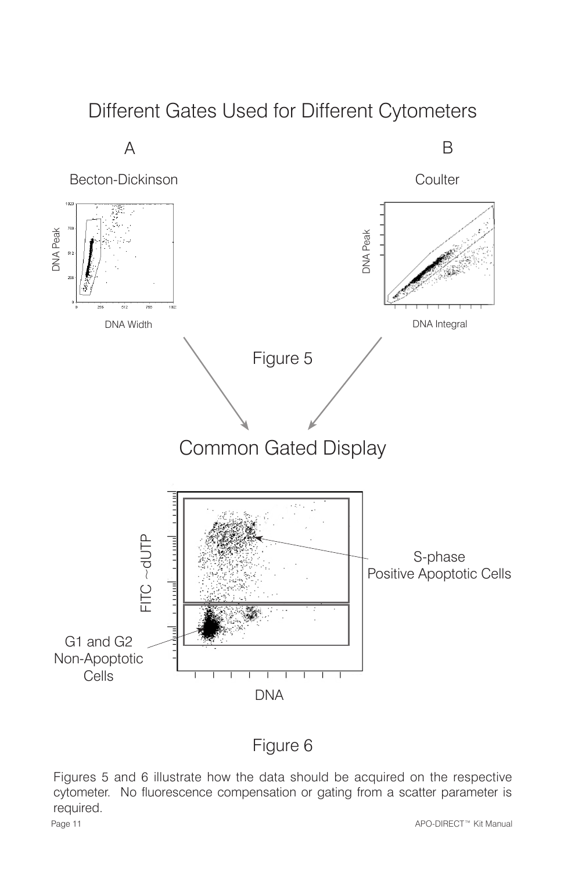#### Different Gates Used for Different Cytometers



#### Figure 6

Figures 5 and 6 illustrate how the data should be acquired on the respective cytometer. No fluorescence compensation or gating from a scatter parameter is required.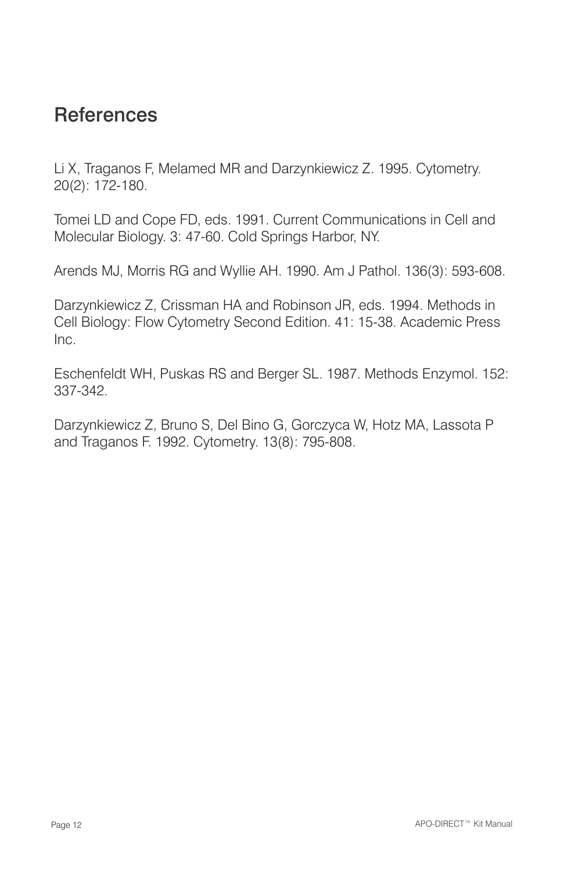#### **References**

Li X, Traganos F, Melamed MR and Darzynkiewicz Z. 1995. Cytometry. 20(2): 172-180.

Tomei LD and Cope FD, eds. 1991. Current Communications in Cell and Molecular Biology. 3: 47-60. Cold Springs Harbor, NY.

Arends MJ, Morris RG and Wyllie AH. 1990. Am J Pathol. 136(3): 593-608.

Darzynkiewicz Z, Crissman HA and Robinson JR, eds. 1994. Methods in Cell Biology: Flow Cytometry Second Edition. 41: 15-38. Academic Press Inc.

Eschenfeldt WH, Puskas RS and Berger SL. 1987. Methods Enzymol. 152: 337-342.

Darzynkiewicz Z, Bruno S, Del Bino G, Gorczyca W, Hotz MA, Lassota P and Traganos F. 1992. Cytometry. 13(8): 795-808.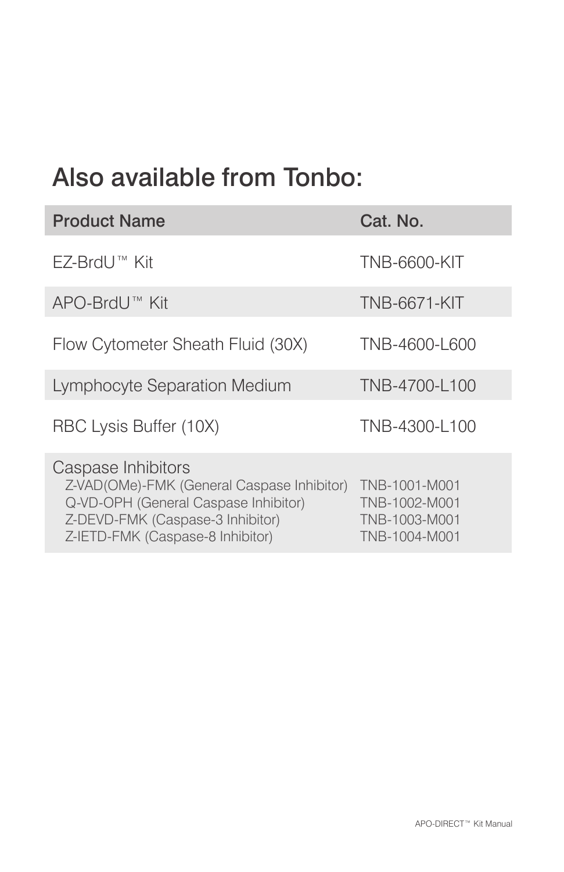## Also available from Tonbo:

| <b>Product Name</b>                                                                                                                                                              | Cat. No.                                                         |
|----------------------------------------------------------------------------------------------------------------------------------------------------------------------------------|------------------------------------------------------------------|
| FZ-BrdU™ Kit                                                                                                                                                                     | <b>TNB-6600-KIT</b>                                              |
| APO-BrdU™ Kit                                                                                                                                                                    | <b>TNB-6671-KIT</b>                                              |
| Flow Cytometer Sheath Fluid (30X)                                                                                                                                                | TNB-4600-L600                                                    |
| Lymphocyte Separation Medium                                                                                                                                                     | TNB-4700-L100                                                    |
| RBC Lysis Buffer (10X)                                                                                                                                                           | TNB-4300-L100                                                    |
| Caspase Inhibitors<br>Z-VAD(OMe)-FMK (General Caspase Inhibitor)<br>Q-VD-OPH (General Caspase Inhibitor)<br>Z-DEVD-FMK (Caspase-3 Inhibitor)<br>Z-IETD-FMK (Caspase-8 Inhibitor) | TNB-1001-M001<br>TNB-1002-M001<br>TNB-1003-M001<br>TNB-1004-M001 |